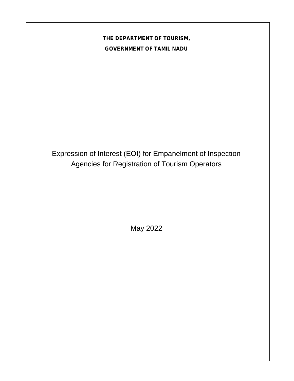# **THE DEPARTMENT OF TOURISM, GOVERNMENT OF TAMIL NADU**

Expression of Interest (EOI) for Empanelment of Inspection Agencies for Registration of Tourism Operators

May 2022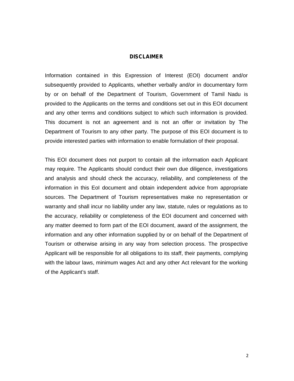#### **DISCLAIMER**

Information contained in this Expression of Interest (EOI) document and/or subsequently provided to Applicants, whether verbally and/or in documentary form by or on behalf of the Department of Tourism, Government of Tamil Nadu is provided to the Applicants on the terms and conditions set out in this EOI document and any other terms and conditions subject to which such information is provided. This document is not an agreement and is not an offer or invitation by The Department of Tourism to any other party. The purpose of this EOI document is to provide interested parties with information to enable formulation of their proposal.

This EOI document does not purport to contain all the information each Applicant may require. The Applicants should conduct their own due diligence, investigations and analysis and should check the accuracy, reliability, and completeness of the information in this EoI document and obtain independent advice from appropriate sources. The Department of Tourism representatives make no representation or warranty and shall incur no liability under any law, statute, rules or regulations as to the accuracy, reliability or completeness of the EOI document and concerned with any matter deemed to form part of the EOI document, award of the assignment, the information and any other information supplied by or on behalf of the Department of Tourism or otherwise arising in any way from selection process. The prospective Applicant will be responsible for all obligations to its staff, their payments, complying with the labour laws, minimum wages Act and any other Act relevant for the working of the Applicant's staff.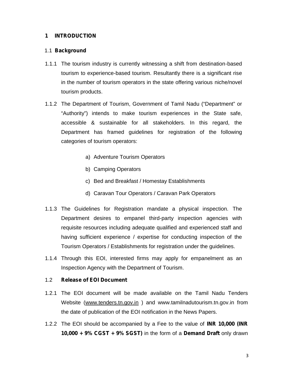### **1 INTRODUCTION**

#### 1.1 **Background**

- 1.1.1 The tourism industry is currently witnessing a shift from destination-based tourism to experience-based tourism. Resultantly there is a significant rise in the number of tourism operators in the state offering various niche/novel tourism products.
- 1.1.2 The Department of Tourism, Government of Tamil Nadu ("Department" or "Authority") intends to make tourism experiences in the State safe, accessible & sustainable for all stakeholders. In this regard, the Department has framed guidelines for registration of the following categories of tourism operators:
	- a) Adventure Tourism Operators
	- b) Camping Operators
	- c) Bed and Breakfast / Homestay Establishments
	- d) Caravan Tour Operators / Caravan Park Operators
- 1.1.3 The Guidelines for Registration mandate a physical inspection. The Department desires to empanel third-party inspection agencies with requisite resources including adequate qualified and experienced staff and having sufficient experience / expertise for conducting inspection of the Tourism Operators / Establishments for registration under the guidelines.
- 1.1.4 Through this EOI, interested firms may apply for empanelment as an Inspection Agency with the Department of Tourism.

#### 1.2 **Release of EOI Document**

- 1.2.1 The EOI document will be made available on the Tamil Nadu Tenders Website (www.tenders.tn.gov.in ) and www.tamilnadutourism.tn.gov.in from the date of publication of the EOI notification in the News Papers.
- 1.2.2 The EOI should be accompanied by a Fee to the value of **INR 10,000 (INR 10,000 + 9% CGST + 9% SGST)** in the form of a **Demand Draft** only drawn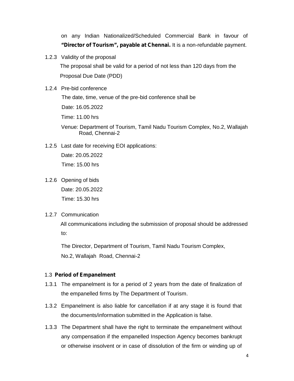on any Indian Nationalized/Scheduled Commercial Bank in favour of **"Director of Tourism", payable at Chennai.** It is a non-refundable payment.

1.2.3 Validity of the proposal

The proposal shall be valid for a period of not less than 120 days from the Proposal Due Date (PDD)

1.2.4 Pre-bid conference

The date, time, venue of the pre-bid conference shall be

Date: 16.05.2022

Time: 11.00 hrs

Venue: Department of Tourism, Tamil Nadu Tourism Complex, No.2, Wallajah Road, Chennai-2

1.2.5 Last date for receiving EOI applications:

Date: 20.05.2022 Time: 15.00 hrs

- 1.2.6 Opening of bids Date: 20.05.2022 Time: 15.30 hrs
- 1.2.7 Communication

All communications including the submission of proposal should be addressed to:

The Director, Department of Tourism, Tamil Nadu Tourism Complex, No.2, Wallajah Road, Chennai-2

#### 1.3 **Period of Empanelment**

- 1.3.1 The empanelment is for a period of 2 years from the date of finalization of the empanelled firms by The Department of Tourism.
- 1.3.2 Empanelment is also liable for cancellation if at any stage it is found that the documents/information submitted in the Application is false.
- 1.3.3 The Department shall have the right to terminate the empanelment without any compensation if the empanelled Inspection Agency becomes bankrupt or otherwise insolvent or in case of dissolution of the firm or winding up of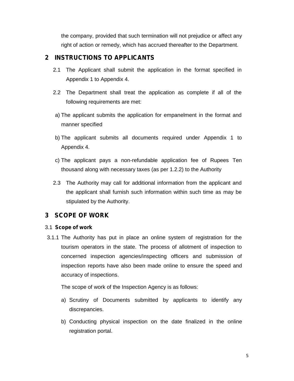the company, provided that such termination will not prejudice or affect any right of action or remedy, which has accrued thereafter to the Department.

# **2 INSTRUCTIONS TO APPLICANTS**

- 2.1 The Applicant shall submit the application in the format specified in Appendix 1 to Appendix 4.
- 2.2 The Department shall treat the application as complete if all of the following requirements are met:
- a) The applicant submits the application for empanelment in the format and manner specified
- b) The applicant submits all documents required under Appendix 1 to Appendix 4.
- c) The applicant pays a non-refundable application fee of Rupees Ten thousand along with necessary taxes (as per 1.2.2) to the Authority
- 2.3 The Authority may call for additional information from the applicant and the applicant shall furnish such information within such time as may be stipulated by the Authority.

# **3 SCOPE OF WORK**

## 3.1 **Scope of work**

3.1.1 The Authority has put in place an online system of registration for the tourism operators in the state. The process of allotment of inspection to concerned inspection agencies/inspecting officers and submission of inspection reports have also been made online to ensure the speed and accuracy of inspections.

The scope of work of the Inspection Agency is as follows:

- a) Scrutiny of Documents submitted by applicants to identify any discrepancies.
- b) Conducting physical inspection on the date finalized in the online registration portal.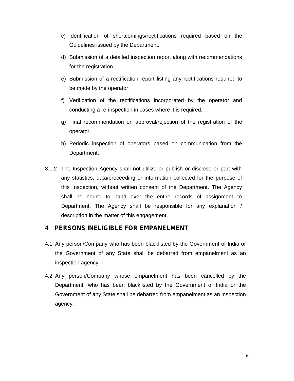- c) Identification of shortcomings/rectifications required based on the Guidelines issued by the Department.
- d) Submission of a detailed inspection report along with recommendations for the registration
- e) Submission of a rectification report listing any rectifications required to be made by the operator.
- f) Verification of the rectifications incorporated by the operator and conducting a re-inspection in cases where it is required.
- g) Final recommendation on approval/rejection of the registration of the operator.
- h) Periodic inspection of operators based on communication from the Department.
- 3.1.2 The Inspection Agency shall not utilize or publish or disclose or part with any statistics, data/proceeding or information collected for the purpose of this Inspection, without written consent of the Department. The Agency shall be bound to hand over the entire records of assignment to Department. The Agency shall be responsible for any explanation / description in the matter of this engagement.

# **4 PERSONS INELIGIBLE FOR EMPANELMENT**

- 4.1 Any person/Company who has been blacklisted by the Government of India or the Government of any State shall be debarred from empanelment as an inspection agency.
- 4.2 Any person/Company whose empanelment has been cancelled by the Department, who has been blacklisted by the Government of India or the Government of any State shall be debarred from empanelment as an inspection agency.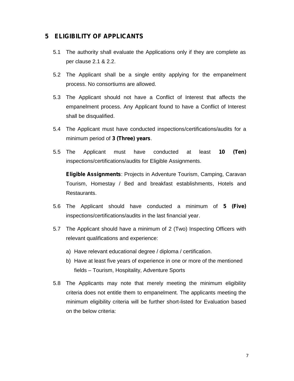# **5 ELIGIBILITY OF APPLICANTS**

- 5.1 The authority shall evaluate the Applications only if they are complete as per clause 2.1 & 2.2.
- 5.2 The Applicant shall be a single entity applying for the empanelment process. No consortiums are allowed.
- 5.3 The Applicant should not have a Conflict of Interest that affects the empanelment process. Any Applicant found to have a Conflict of Interest shall be disqualified.
- 5.4 The Applicant must have conducted inspections/certifications/audits for a minimum period of **3 (Three) years**.
- 5.5 The Applicant must have conducted at least **10 (Ten)** inspections/certifications/audits for Eligible Assignments.

**Eligible Assignments**: Projects in Adventure Tourism, Camping, Caravan Tourism, Homestay / Bed and breakfast establishments, Hotels and Restaurants.

- 5.6 The Applicant should have conducted a minimum of **5 (Five)** inspections/certifications/audits in the last financial year.
- 5.7 The Applicant should have a minimum of 2 (Two) Inspecting Officers with relevant qualifications and experience:
	- a) Have relevant educational degree / diploma / certification.
	- b) Have at least five years of experience in one or more of the mentioned fields – Tourism, Hospitality, Adventure Sports
- 5.8 The Applicants may note that merely meeting the minimum eligibility criteria does not entitle them to empanelment. The applicants meeting the minimum eligibility criteria will be further short-listed for Evaluation based on the below criteria: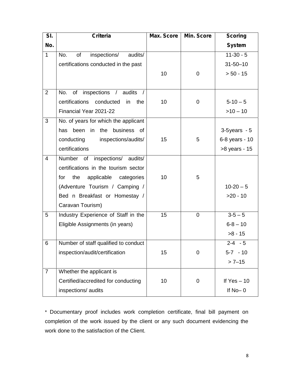| SI.            | <b>Criteria</b>                          | <b>Max. Score</b> | Min. Score  | <b>Scoring</b>    |
|----------------|------------------------------------------|-------------------|-------------|-------------------|
| No.            |                                          |                   |             | <b>System</b>     |
| $\mathbf{1}$   | No.<br>of<br>inspections/<br>audits/     |                   |             | $11-30-5$         |
|                | certifications conducted in the past     |                   |             | $31 - 50 - 10$    |
|                |                                          | 10                | $\pmb{0}$   | $> 50 - 15$       |
|                |                                          |                   |             |                   |
| $\overline{2}$ | inspections /<br>of<br>audits<br>No.     |                   |             |                   |
|                | certifications<br>conducted<br>in<br>the | 10                | $\pmb{0}$   | $5 - 10 - 5$      |
|                | Financial Year 2021-22                   |                   |             | $>10 - 10$        |
| 3              | No. of years for which the applicant     |                   |             |                   |
|                | has been<br>in<br>business of<br>the     |                   |             | $3-5$ years - $5$ |
|                | conducting<br>inspections/audits/        | 15                | 5           | 6-8 years - 10    |
|                | certifications                           |                   |             | >8 years - 15     |
| $\overline{4}$ | Number of inspections/<br>audits/        |                   |             |                   |
|                | certifications in the tourism sector     |                   |             |                   |
|                | the<br>applicable categories<br>for      | 10                | 5           |                   |
|                | (Adventure Tourism / Camping /           |                   |             | $10-20-5$         |
|                | Bed n Breakfast or Homestay /            |                   |             | $>20 - 10$        |
|                | Caravan Tourism)                         |                   |             |                   |
| 5              | Industry Experience of Staff in the      | 15                | $\mathbf 0$ | $3 - 5 - 5$       |
|                | Eligible Assignments (in years)          |                   |             | $6 - 8 - 10$      |
|                |                                          |                   |             | $>8 - 15$         |
| 6              | Number of staff qualified to conduct     |                   |             | $2 - 4 - 5$       |
|                | inspection/audit/certification           | 15                | $\mathbf 0$ | $5-7 - 10$        |
|                |                                          |                   |             | $>7 - 15$         |
| $\overline{7}$ | Whether the applicant is                 |                   |             |                   |
|                | Certified/accredited for conducting      | 10                | 0           | If $Yes - 10$     |
|                | inspections/ audits                      |                   |             | If $No-0$         |

\* Documentary proof includes work completion certificate, final bill payment on completion of the work issued by the client or any such document evidencing the work done to the satisfaction of the Client.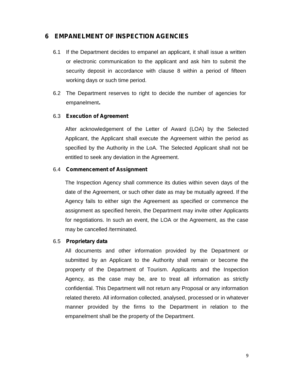# **6 EMPANELMENT OF INSPECTION AGENCIES**

- 6.1 If the Department decides to empanel an applicant, it shall issue a written or electronic communication to the applicant and ask him to submit the security deposit in accordance with clause 8 within a period of fifteen working days or such time period.
- 6.2 The Department reserves to right to decide the number of agencies for empanelment**.**

#### 6.3 **Execution of Agreement**

After acknowledgement of the Letter of Award (LOA) by the Selected Applicant, the Applicant shall execute the Agreement within the period as specified by the Authority in the LoA. The Selected Applicant shall not be entitled to seek any deviation in the Agreement.

#### 6.4 **Commencement of Assignment**

The Inspection Agency shall commence its duties within seven days of the date of the Agreement, or such other date as may be mutually agreed. If the Agency fails to either sign the Agreement as specified or commence the assignment as specified herein, the Department may invite other Applicants for negotiations. In such an event, the LOA or the Agreement, as the case may be cancelled /terminated.

#### 6.5 **Proprietary data**

All documents and other information provided by the Department or submitted by an Applicant to the Authority shall remain or become the property of the Department of Tourism. Applicants and the Inspection Agency, as the case may be, are to treat all information as strictly confidential. This Department will not return any Proposal or any information related thereto. All information collected, analysed, processed or in whatever manner provided by the firms to the Department in relation to the empanelment shall be the property of the Department.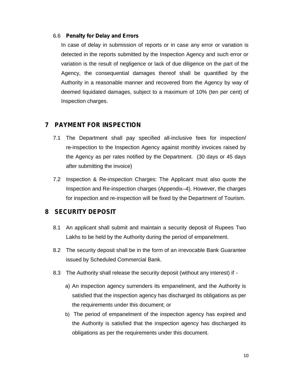#### 6.6 **Penalty for Delay and Errors**

In case of delay in submission of reports or in case any error or variation is detected in the reports submitted by the Inspection Agency and such error or variation is the result of negligence or lack of due diligence on the part of the Agency, the consequential damages thereof shall be quantified by the Authority in a reasonable manner and recovered from the Agency by way of deemed liquidated damages, subject to a maximum of 10% (ten per cent) of Inspection charges.

# **7 PAYMENT FOR INSPECTION**

- 7.1 The Department shall pay specified all-inclusive fees for inspection/ re-inspection to the Inspection Agency against monthly invoices raised by the Agency as per rates notified by the Department. (30 days or 45 days after submitting the invoice)
- 7.2 Inspection & Re-inspection Charges: The Applicant must also quote the Inspection and Re-inspection charges (Appendix–4). However, the charges for inspection and re-inspection will be fixed by the Department of Tourism.

# **8 SECURITY DEPOSIT**

- 8.1 An applicant shall submit and maintain a security deposit of Rupees Two Lakhs to be held by the Authority during the period of empanelment.
- 8.2 The security deposit shall be in the form of an irrevocable Bank Guarantee issued by Scheduled Commercial Bank.
- 8.3 The Authority shall release the security deposit (without any interest) if
	- a) An inspection agency surrenders its empanelment, and the Authority is satisfied that the inspection agency has discharged its obligations as per the requirements under this document; or
	- b) The period of empanelment of the inspection agency has expired and the Authority is satisfied that the inspection agency has discharged its obligations as per the requirements under this document.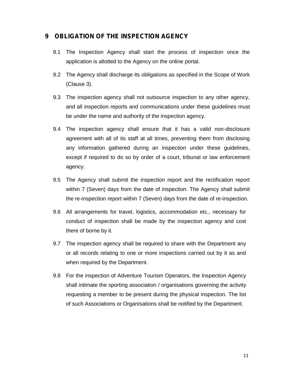# **9 OBLIGATION OF THE INSPECTION AGENCY**

- 9.1 The Inspection Agency shall start the process of inspection once the application is allotted to the Agency on the online portal.
- 9.2 The Agency shall discharge its obligations as specified in the Scope of Work (Clause 3).
- 9.3 The inspection agency shall not outsource inspection to any other agency, and all inspection reports and communications under these guidelines must be under the name and authority of the inspection agency.
- 9.4 The inspection agency shall ensure that it has a valid non-disclosure agreement with all of its staff at all times, preventing them from disclosing any information gathered during an inspection under these guidelines, except if required to do so by order of a court, tribunal or law enforcement agency.
- 9.5 The Agency shall submit the inspection report and the rectification report within 7 (Seven) days from the date of inspection. The Agency shall submit the re-inspection report within 7 (Seven) days from the date of re-inspection.
- 9.6 All arrangements for travel, logistics, accommodation etc., necessary for conduct of inspection shall be made by the inspection agency and cost there of borne by it.
- 9.7 The inspection agency shall be required to share with the Department any or all records relating to one or more inspections carried out by it as and when required by the Department.
- 9.8 For the inspection of Adventure Tourism Operators, the Inspection Agency shall intimate the sporting association / organisations governing the activity requesting a member to be present during the physical inspection. The list of such Associations or Organisations shall be notified by the Department.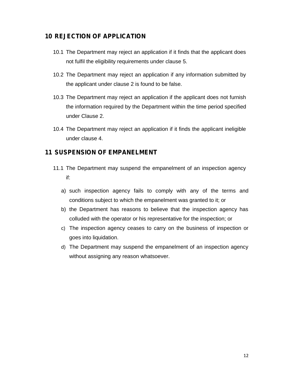# **10 REJECTION OF APPLICATION**

- 10.1 The Department may reject an application if it finds that the applicant does not fulfil the eligibility requirements under clause 5.
- 10.2 The Department may reject an application if any information submitted by the applicant under clause 2 is found to be false.
- 10.3 The Department may reject an application if the applicant does not furnish the information required by the Department within the time period specified under Clause 2.
- 10.4 The Department may reject an application if it finds the applicant ineligible under clause 4.

## **11 SUSPENSION OF EMPANELMENT**

- 11.1 The Department may suspend the empanelment of an inspection agency if:
	- a) such inspection agency fails to comply with any of the terms and conditions subject to which the empanelment was granted to it; or
	- b) the Department has reasons to believe that the inspection agency has colluded with the operator or his representative for the inspection; or
	- c) The inspection agency ceases to carry on the business of inspection or goes into liquidation.
	- d) The Department may suspend the empanelment of an inspection agency without assigning any reason whatsoever.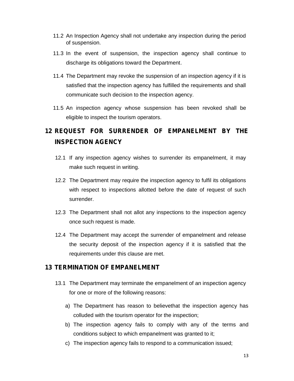- 11.2 An Inspection Agency shall not undertake any inspection during the period of suspension.
- 11.3 In the event of suspension, the inspection agency shall continue to discharge its obligations toward the Department.
- 11.4 The Department may revoke the suspension of an inspection agency if it is satisfied that the inspection agency has fulfilled the requirements and shall communicate such decision to the inspection agency.
- 11.5 An inspection agency whose suspension has been revoked shall be eligible to inspect the tourism operators.

# **12 REQUEST FOR SURRENDER OF EMPANELMENT BY THE INSPECTION AGENCY**

- 12.1 If any inspection agency wishes to surrender its empanelment, it may make such request in writing.
- 12.2 The Department may require the inspection agency to fulfil its obligations with respect to inspections allotted before the date of request of such surrender.
- 12.3 The Department shall not allot any inspections to the inspection agency once such request is made.
- 12.4 The Department may accept the surrender of empanelment and release the security deposit of the inspection agency if it is satisfied that the requirements under this clause are met.

## **13 TERMINATION OF EMPANELMENT**

- 13.1 The Department may terminate the empanelment of an inspection agency for one or more of the following reasons:
	- a) The Department has reason to believethat the inspection agency has colluded with the tourism operator for the inspection;
	- b) The inspection agency fails to comply with any of the terms and conditions subject to which empanelment was granted to it;
	- c) The inspection agency fails to respond to a communication issued;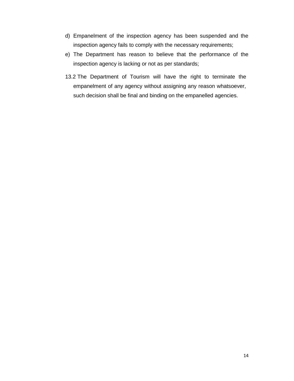- d) Empanelment of the inspection agency has been suspended and the inspection agency fails to comply with the necessary requirements;
- e) The Department has reason to believe that the performance of the inspection agency is lacking or not as per standards;
- 13.2 The Department of Tourism will have the right to terminate the empanelment of any agency without assigning any reason whatsoever, such decision shall be final and binding on the empanelled agencies.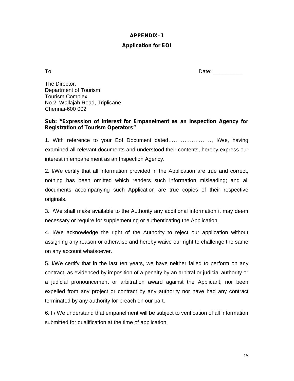### **APPENDIX–1**

### **Application for EOI**

To Date:

The Director, Department of Tourism, Tourism Complex, No.2, Wallajah Road, Triplicane, Chennai-600 002

#### **Sub: "Expression of Interest for Empanelment as an Inspection Agency for Registration of Tourism Operators"**

1. With reference to your EoI Document dated……………………, I/We, having examined all relevant documents and understood their contents, hereby express our interest in empanelment as an Inspection Agency.

2. I/We certify that all information provided in the Application are true and correct, nothing has been omitted which renders such information misleading; and all documents accompanying such Application are true copies of their respective originals.

3. I/We shall make available to the Authority any additional information it may deem necessary or require for supplementing or authenticating the Application.

4. I/We acknowledge the right of the Authority to reject our application without assigning any reason or otherwise and hereby waive our right to challenge the same on any account whatsoever.

5. I/We certify that in the last ten years, we have neither failed to perform on any contract, as evidenced by imposition of a penalty by an arbitral or judicial authority or a judicial pronouncement or arbitration award against the Applicant, nor been expelled from any project or contract by any authority nor have had any contract terminated by any authority for breach on our part.

6. I / We understand that empanelment will be subject to verification of all information submitted for qualification at the time of application.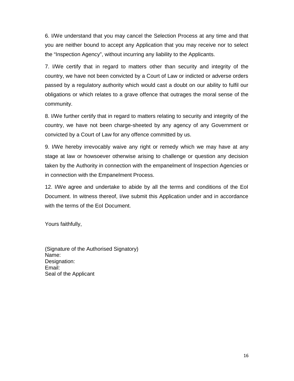6. I/We understand that you may cancel the Selection Process at any time and that you are neither bound to accept any Application that you may receive nor to select the "Inspection Agency", without incurring any liability to the Applicants.

7. I/We certify that in regard to matters other than security and integrity of the country, we have not been convicted by a Court of Law or indicted or adverse orders passed by a regulatory authority which would cast a doubt on our ability to fulfil our obligations or which relates to a grave offence that outrages the moral sense of the community.

8. I/We further certify that in regard to matters relating to security and integrity of the country, we have not been charge-sheeted by any agency of any Government or convicted by a Court of Law for any offence committed by us.

9. I/We hereby irrevocably waive any right or remedy which we may have at any stage at law or howsoever otherwise arising to challenge or question any decision taken by the Authority in connection with the empanelment of Inspection Agencies or in connection with the Empanelment Process.

12. I/We agree and undertake to abide by all the terms and conditions of the EoI Document. In witness thereof, I/we submit this Application under and in accordance with the terms of the EoI Document.

Yours faithfully,

(Signature of the Authorised Signatory) Name: Designation: Email: Seal of the Applicant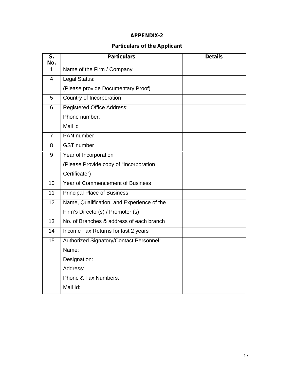# **APPENDIX-2**

# **Particulars of the Applicant**

| S.<br>No.      | <b>Particulars</b>                         | <b>Details</b> |
|----------------|--------------------------------------------|----------------|
| 1              | Name of the Firm / Company                 |                |
| $\overline{4}$ | Legal Status:                              |                |
|                | (Please provide Documentary Proof)         |                |
| 5              | Country of Incorporation                   |                |
| 6              | <b>Registered Office Address:</b>          |                |
|                | Phone number:                              |                |
|                | Mail id                                    |                |
| $\overline{7}$ | PAN number                                 |                |
| 8              | <b>GST</b> number                          |                |
| 9              | Year of Incorporation                      |                |
|                | (Please Provide copy of "Incorporation     |                |
|                | Certificate")                              |                |
| 10             | Year of Commencement of Business           |                |
| 11             | <b>Principal Place of Business</b>         |                |
| 12             | Name, Qualification, and Experience of the |                |
|                | Firm's Director(s) / Promoter (s)          |                |
| 13             | No. of Branches & address of each branch   |                |
| 14             | Income Tax Returns for last 2 years        |                |
| 15             | Authorized Signatory/Contact Personnel:    |                |
|                | Name:                                      |                |
|                | Designation:                               |                |
|                | Address:                                   |                |
|                | Phone & Fax Numbers:                       |                |
|                | Mail Id:                                   |                |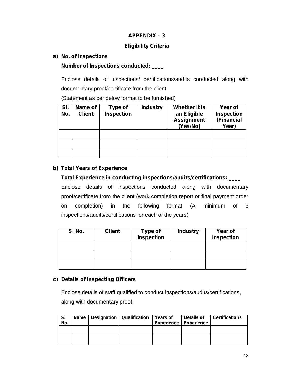## **APPENDIX –3**

## **Eligibility Criteria**

#### **a) No. of Inspections**

#### **Number of Inspections conducted: \_\_\_\_**

Enclose details of inspections/ certifications/audits conducted along with documentary proof/certificate from the client

(Statement as per below format to be furnished)

| SI.<br>No. | Name of<br><b>Client</b> | Type of<br>Inspection | <b>Industry</b> | Whether it is<br>an Eligible<br><b>Assignment</b><br>(Yes/No) | Year of<br><b>Inspection</b><br>(Financial<br>Year) |
|------------|--------------------------|-----------------------|-----------------|---------------------------------------------------------------|-----------------------------------------------------|
|            |                          |                       |                 |                                                               |                                                     |
|            |                          |                       |                 |                                                               |                                                     |
|            |                          |                       |                 |                                                               |                                                     |

### **b) Total Years of Experience**

# **Total Experience in conducting inspections/audits/certifications: \_\_\_\_** Enclose details of inspections conducted along with documentary proof/certificate from the client (work completion report or final payment order on completion) in the following format (A minimum of 3 inspections/audits/certifications for each of the years)

| <b>S. No.</b> | <b>Client</b> | Type of<br>Inspection | <b>Industry</b> | Year of<br><b>Inspection</b> |
|---------------|---------------|-----------------------|-----------------|------------------------------|
|               |               |                       |                 |                              |
|               |               |                       |                 |                              |
|               |               |                       |                 |                              |

## **c) Details of Inspecting Officers**

Enclose details of staff qualified to conduct inspections/audits/certifications, along with documentary proof.

| S.<br>No. | Name | Designation   Qualification | <b>Years of</b> | <b>Details of</b><br><b>Experience Experience</b> | <b>Certifications</b> |
|-----------|------|-----------------------------|-----------------|---------------------------------------------------|-----------------------|
|           |      |                             |                 |                                                   |                       |
|           |      |                             |                 |                                                   |                       |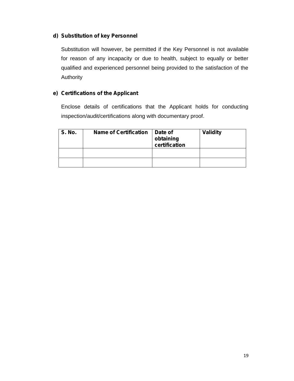#### **d) Substitution of key Personnel**

Substitution will however, be permitted if the Key Personnel is not available for reason of any incapacity or due to health, subject to equally or better qualified and experienced personnel being provided to the satisfaction of the Authority

## **e) Certifications of the Applicant**

Enclose details of certifications that the Applicant holds for conducting inspection/audit/certifications along with documentary proof.

| <b>S. No.</b> | <b>Name of Certification</b> | Date of<br>obtaining<br>certification | <b>Validity</b> |
|---------------|------------------------------|---------------------------------------|-----------------|
|               |                              |                                       |                 |
|               |                              |                                       |                 |